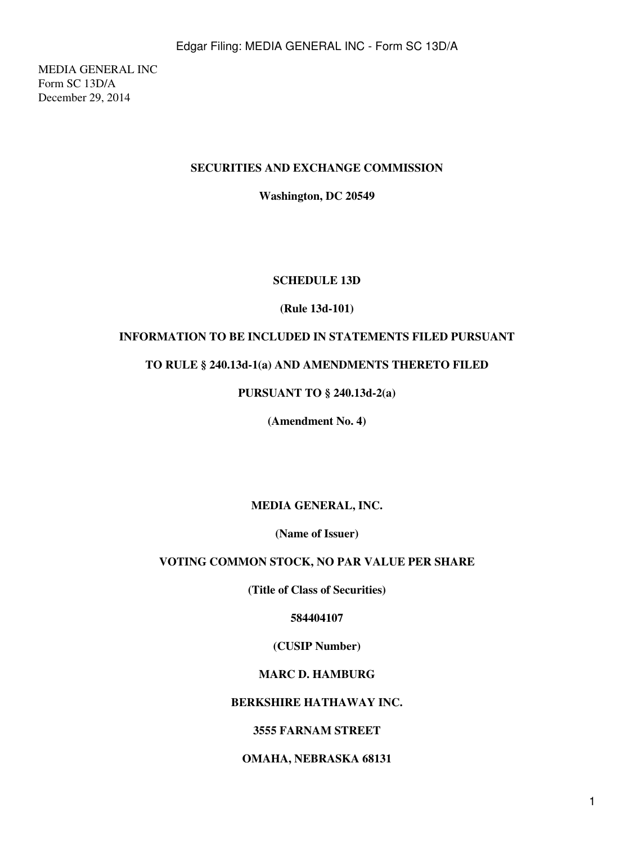MEDIA GENERAL INC Form SC 13D/A December 29, 2014

## **SECURITIES AND EXCHANGE COMMISSION**

**Washington, DC 20549**

## **SCHEDULE 13D**

## **(Rule 13d-101)**

# **INFORMATION TO BE INCLUDED IN STATEMENTS FILED PURSUANT**

## **TO RULE § 240.13d-1(a) AND AMENDMENTS THERETO FILED**

# **PURSUANT TO § 240.13d-2(a)**

**(Amendment No. 4)**

**MEDIA GENERAL, INC.**

**(Name of Issuer)**

## **VOTING COMMON STOCK, NO PAR VALUE PER SHARE**

**(Title of Class of Securities)**

**584404107**

## **(CUSIP Number)**

## **MARC D. HAMBURG**

## **BERKSHIRE HATHAWAY INC.**

## **3555 FARNAM STREET**

## **OMAHA, NEBRASKA 68131**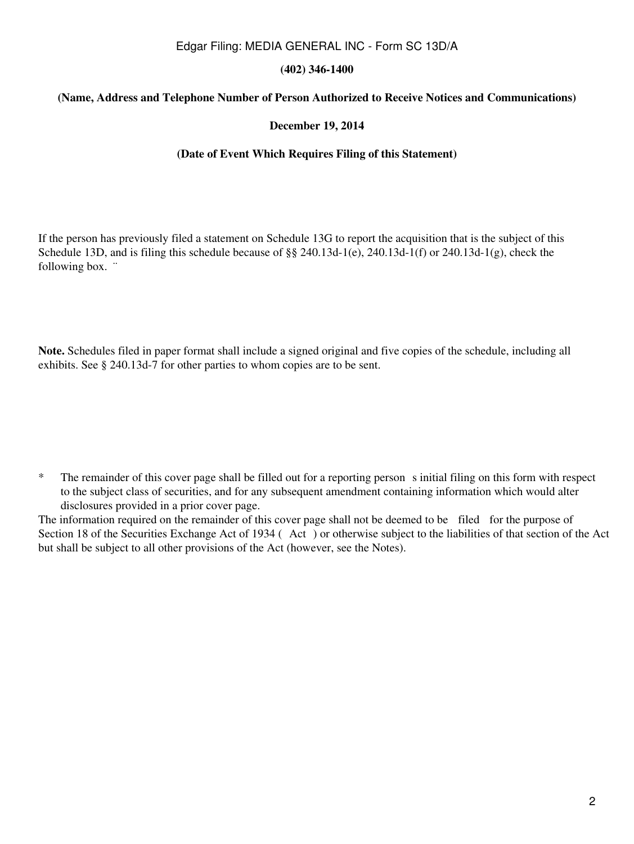## **(402) 346-1400**

## **(Name, Address and Telephone Number of Person Authorized to Receive Notices and Communications)**

### **December 19, 2014**

#### **(Date of Event Which Requires Filing of this Statement)**

If the person has previously filed a statement on Schedule 13G to report the acquisition that is the subject of this Schedule 13D, and is filing this schedule because of  $\S$ § 240.13d-1(e), 240.13d-1(f) or 240.13d-1(g), check the following box. "

**Note.** Schedules filed in paper format shall include a signed original and five copies of the schedule, including all exhibits. See § 240.13d-7 for other parties to whom copies are to be sent.

<sup>\*</sup> The remainder of this cover page shall be filled out for a reporting person s initial filing on this form with respect to the subject class of securities, and for any subsequent amendment containing information which would alter disclosures provided in a prior cover page.

The information required on the remainder of this cover page shall not be deemed to be filed for the purpose of Section 18 of the Securities Exchange Act of 1934 (Act) or otherwise subject to the liabilities of that section of the Act but shall be subject to all other provisions of the Act (however, see the Notes).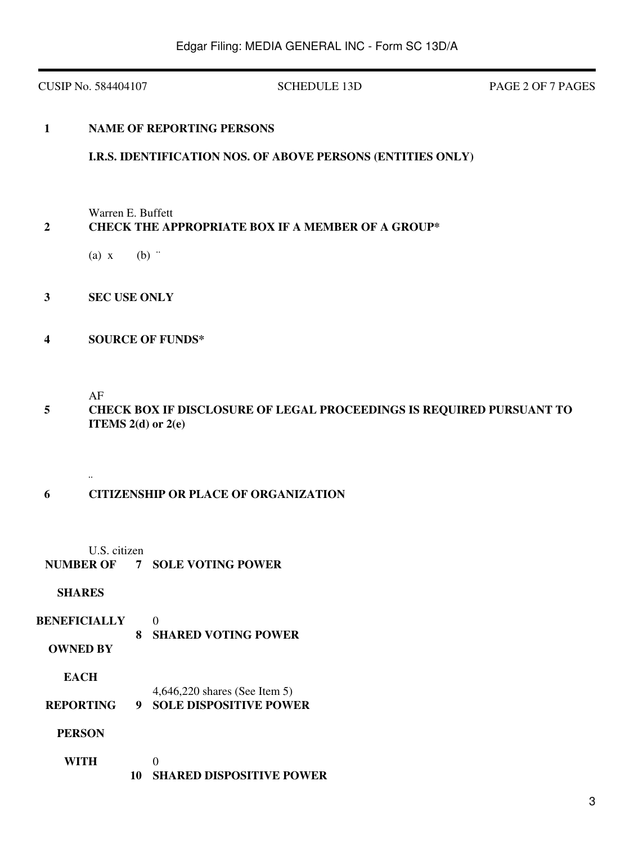CUSIP No. 584404107 SCHEDULE 13D PAGE 2 OF 7 PAGES

## **1 NAME OF REPORTING PERSONS**

## **I.R.S. IDENTIFICATION NOS. OF ABOVE PERSONS (ENTITIES ONLY)**

Warren E. Buffett

# **2 CHECK THE APPROPRIATE BOX IF A MEMBER OF A GROUP\***

- (a)  $x$  (b)  $\dddot{ }$
- **3 SEC USE ONLY**
- **4 SOURCE OF FUNDS\***

AF

¨

 **5 CHECK BOX IF DISCLOSURE OF LEGAL PROCEEDINGS IS REQUIRED PURSUANT TO ITEMS 2(d) or 2(e)**

## **6 CITIZENSHIP OR PLACE OF ORGANIZATION**

U.S. citizen

**NUMBER OF 7 SOLE VOTING POWER**

### **SHARES**

- **BENEFICIALLY** 0  **8 SHARED VOTING POWER**
	- **OWNED BY**

**EACH**

- 4,646,220 shares (See Item 5)
- **REPORTING 9 SOLE DISPOSITIVE POWER**
	- **PERSON**
	- **WITH**  $\Omega$ **10 SHARED DISPOSITIVE POWER**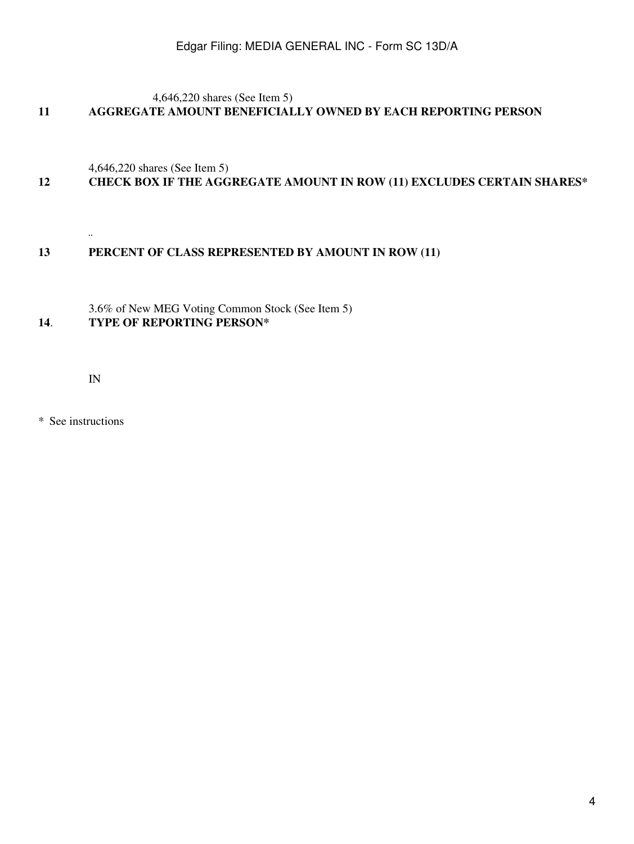4,646,220 shares (See Item 5)

# **11 AGGREGATE AMOUNT BENEFICIALLY OWNED BY EACH REPORTING PERSON**

4,646,220 shares (See Item 5)

# **12 CHECK BOX IF THE AGGREGATE AMOUNT IN ROW (11) EXCLUDES CERTAIN SHARES\***

## **13 PERCENT OF CLASS REPRESENTED BY AMOUNT IN ROW (11)**

3.6% of New MEG Voting Common Stock (See Item 5) **14**. **TYPE OF REPORTING PERSON\***

IN

¨

\* See instructions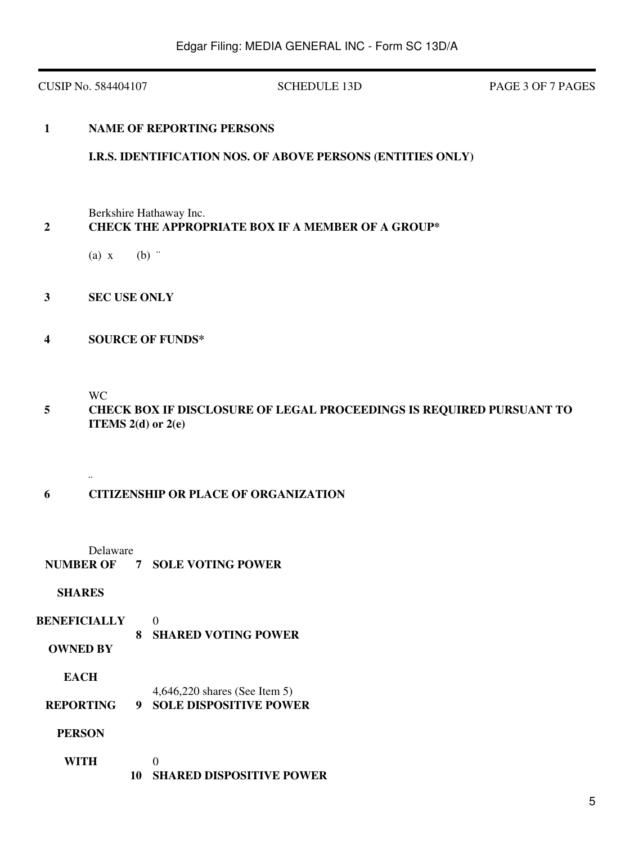CUSIP No. 584404107 SCHEDULE 13D PAGE 3 OF 7 PAGES

## **1 NAME OF REPORTING PERSONS**

## **I.R.S. IDENTIFICATION NOS. OF ABOVE PERSONS (ENTITIES ONLY)**

Berkshire Hathaway Inc.

## **2 CHECK THE APPROPRIATE BOX IF A MEMBER OF A GROUP\***

- (a)  $x$  (b)  $\dddot{ }$
- **3 SEC USE ONLY**
- **4 SOURCE OF FUNDS\***

WC

¨

 **5 CHECK BOX IF DISCLOSURE OF LEGAL PROCEEDINGS IS REQUIRED PURSUANT TO ITEMS 2(d) or 2(e)**

## **6 CITIZENSHIP OR PLACE OF ORGANIZATION**

Delaware

**NUMBER OF 7 SOLE VOTING POWER**

### **SHARES**

- **BENEFICIALLY** 0  **8 SHARED VOTING POWER**
	- **OWNED BY**

**EACH**

- 4,646,220 shares (See Item 5)
- **REPORTING 9 SOLE DISPOSITIVE POWER**
	- **PERSON**
	- **WITH**  $\Omega$ **10 SHARED DISPOSITIVE POWER**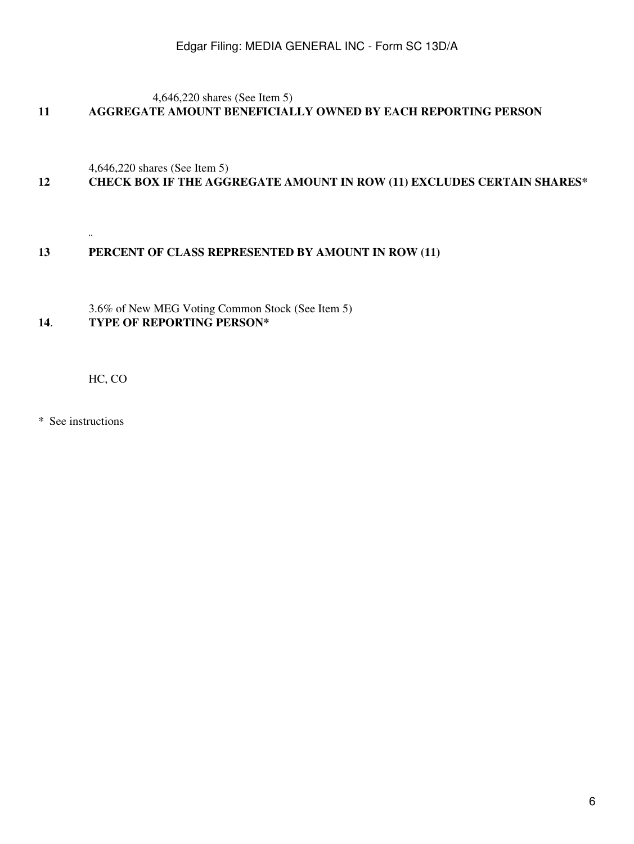4,646,220 shares (See Item 5)

# **11 AGGREGATE AMOUNT BENEFICIALLY OWNED BY EACH REPORTING PERSON**

4,646,220 shares (See Item 5)

# **12 CHECK BOX IF THE AGGREGATE AMOUNT IN ROW (11) EXCLUDES CERTAIN SHARES\***

**13 PERCENT OF CLASS REPRESENTED BY AMOUNT IN ROW (11)**

3.6% of New MEG Voting Common Stock (See Item 5) **14**. **TYPE OF REPORTING PERSON\***

HC, CO

\* See instructions

¨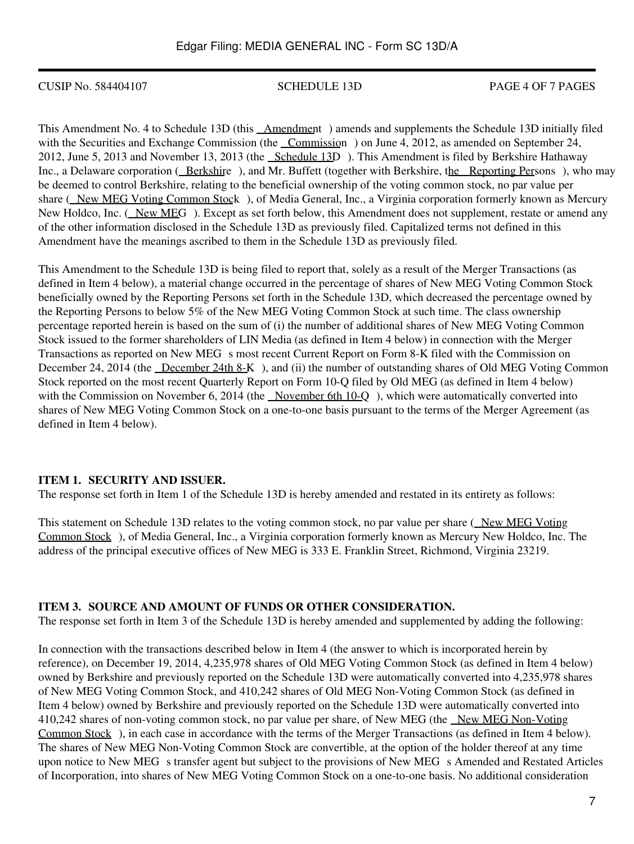CUSIP No. 584404107 SCHEDULE 13D PAGE 4 OF 7 PAGES

This Amendment No. 4 to Schedule 13D (this Amendment) amends and supplements the Schedule 13D initially filed with the Securities and Exchange Commission (the Commission) on June 4, 2012, as amended on September 24, 2012, June 5, 2013 and November 13, 2013 (the Schedule 13D). This Amendment is filed by Berkshire Hathaway Inc., a Delaware corporation (Berkshire), and Mr. Buffett (together with Berkshire, the Reporting Persons), who may be deemed to control Berkshire, relating to the beneficial ownership of the voting common stock, no par value per share (New MEG Voting Common Stock), of Media General, Inc., a Virginia corporation formerly known as Mercury New Holdco, Inc. (New MEG). Except as set forth below, this Amendment does not supplement, restate or amend any of the other information disclosed in the Schedule 13D as previously filed. Capitalized terms not defined in this Amendment have the meanings ascribed to them in the Schedule 13D as previously filed.

This Amendment to the Schedule 13D is being filed to report that, solely as a result of the Merger Transactions (as defined in Item 4 below), a material change occurred in the percentage of shares of New MEG Voting Common Stock beneficially owned by the Reporting Persons set forth in the Schedule 13D, which decreased the percentage owned by the Reporting Persons to below 5% of the New MEG Voting Common Stock at such time. The class ownership percentage reported herein is based on the sum of (i) the number of additional shares of New MEG Voting Common Stock issued to the former shareholders of LIN Media (as defined in Item 4 below) in connection with the Merger Transactions as reported on New MEG s most recent Current Report on Form 8-K filed with the Commission on December 24, 2014 (the December 24th 8-K), and (ii) the number of outstanding shares of Old MEG Voting Common Stock reported on the most recent Quarterly Report on Form 10-Q filed by Old MEG (as defined in Item 4 below) with the Commission on November 6, 2014 (the November 6th 10-Q), which were automatically converted into shares of New MEG Voting Common Stock on a one-to-one basis pursuant to the terms of the Merger Agreement (as defined in Item 4 below).

## **ITEM 1. SECURITY AND ISSUER.**

The response set forth in Item 1 of the Schedule 13D is hereby amended and restated in its entirety as follows:

This statement on Schedule 13D relates to the voting common stock, no par value per share (New MEG Voting Common Stock), of Media General, Inc., a Virginia corporation formerly known as Mercury New Holdco, Inc. The address of the principal executive offices of New MEG is 333 E. Franklin Street, Richmond, Virginia 23219.

## **ITEM 3. SOURCE AND AMOUNT OF FUNDS OR OTHER CONSIDERATION.**

The response set forth in Item 3 of the Schedule 13D is hereby amended and supplemented by adding the following:

In connection with the transactions described below in Item 4 (the answer to which is incorporated herein by reference), on December 19, 2014, 4,235,978 shares of Old MEG Voting Common Stock (as defined in Item 4 below) owned by Berkshire and previously reported on the Schedule 13D were automatically converted into 4,235,978 shares of New MEG Voting Common Stock, and 410,242 shares of Old MEG Non-Voting Common Stock (as defined in Item 4 below) owned by Berkshire and previously reported on the Schedule 13D were automatically converted into 410,242 shares of non-voting common stock, no par value per share, of New MEG (the New MEG Non-Voting Common Stock), in each case in accordance with the terms of the Merger Transactions (as defined in Item 4 below). The shares of New MEG Non-Voting Common Stock are convertible, at the option of the holder thereof at any time upon notice to New MEG s transfer agent but subject to the provisions of New MEG s Amended and Restated Articles of Incorporation, into shares of New MEG Voting Common Stock on a one-to-one basis. No additional consideration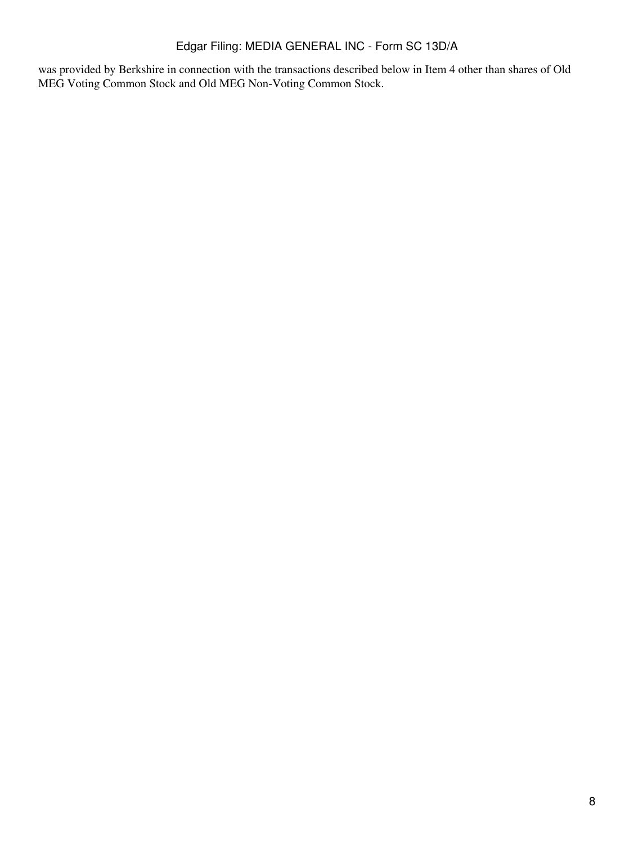was provided by Berkshire in connection with the transactions described below in Item 4 other than shares of Old MEG Voting Common Stock and Old MEG Non-Voting Common Stock.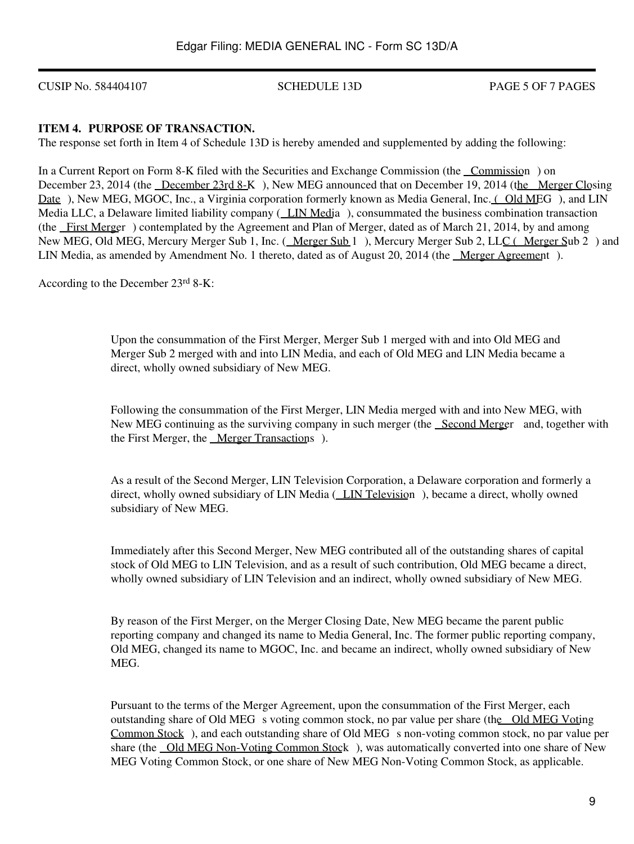CUSIP No. 584404107 SCHEDULE 13D PAGE 5 OF 7 PAGES

## **ITEM 4. PURPOSE OF TRANSACTION.**

The response set forth in Item 4 of Schedule 13D is hereby amended and supplemented by adding the following:

In a Current Report on Form 8-K filed with the Securities and Exchange Commission (the Commission) on December 23, 2014 (the December 23rd 8-K), New MEG announced that on December 19, 2014 (the Merger Closing Date), New MEG, MGOC, Inc., a Virginia corporation formerly known as Media General, Inc. (Old MEG), and LIN Media LLC, a Delaware limited liability company (LIN Media), consummated the business combination transaction (the First Merger) contemplated by the Agreement and Plan of Merger, dated as of March 21, 2014, by and among New MEG, Old MEG, Mercury Merger Sub 1, Inc. (Merger Sub 1), Mercury Merger Sub 2, LLC (Merger Sub 2) and LIN Media, as amended by Amendment No. 1 thereto, dated as of August 20, 2014 (the Merger Agreement).

According to the December 23rd 8-K:

Upon the consummation of the First Merger, Merger Sub 1 merged with and into Old MEG and Merger Sub 2 merged with and into LIN Media, and each of Old MEG and LIN Media became a direct, wholly owned subsidiary of New MEG.

Following the consummation of the First Merger, LIN Media merged with and into New MEG, with New MEG continuing as the surviving company in such merger (the Second Merger and, together with the First Merger, the <u>Merger Transactions</u>).

As a result of the Second Merger, LIN Television Corporation, a Delaware corporation and formerly a direct, wholly owned subsidiary of LIN Media (LIN Television), became a direct, wholly owned subsidiary of New MEG.

Immediately after this Second Merger, New MEG contributed all of the outstanding shares of capital stock of Old MEG to LIN Television, and as a result of such contribution, Old MEG became a direct, wholly owned subsidiary of LIN Television and an indirect, wholly owned subsidiary of New MEG.

By reason of the First Merger, on the Merger Closing Date, New MEG became the parent public reporting company and changed its name to Media General, Inc. The former public reporting company, Old MEG, changed its name to MGOC, Inc. and became an indirect, wholly owned subsidiary of New MEG.

Pursuant to the terms of the Merger Agreement, upon the consummation of the First Merger, each outstanding share of Old MEG s voting common stock, no par value per share (the Old MEG Voting Common Stock), and each outstanding share of Old MEG s non-voting common stock, no par value per share (the Old MEG Non-Voting Common Stock), was automatically converted into one share of New MEG Voting Common Stock, or one share of New MEG Non-Voting Common Stock, as applicable.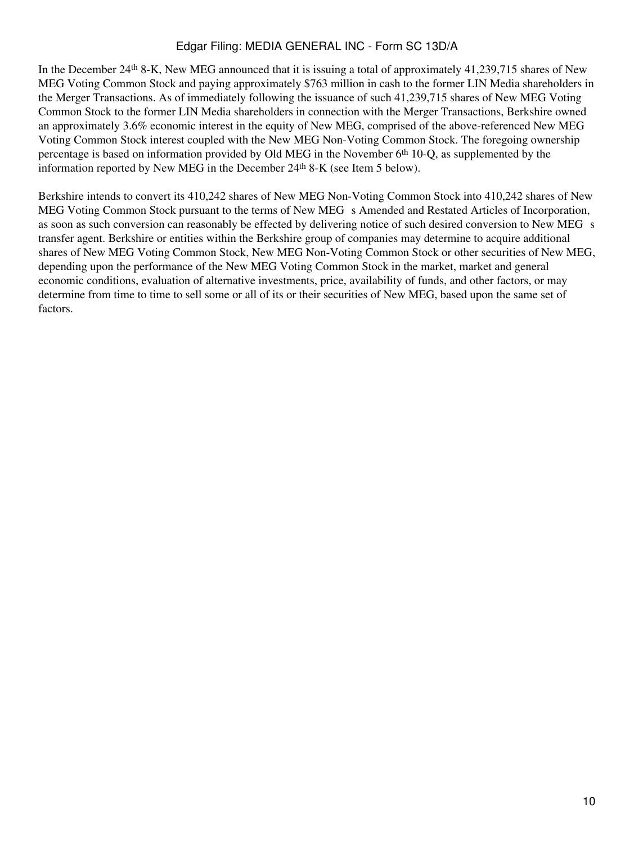In the December 24th 8-K, New MEG announced that it is issuing a total of approximately 41,239,715 shares of New MEG Voting Common Stock and paying approximately \$763 million in cash to the former LIN Media shareholders in the Merger Transactions. As of immediately following the issuance of such 41,239,715 shares of New MEG Voting Common Stock to the former LIN Media shareholders in connection with the Merger Transactions, Berkshire owned an approximately 3.6% economic interest in the equity of New MEG, comprised of the above-referenced New MEG Voting Common Stock interest coupled with the New MEG Non-Voting Common Stock. The foregoing ownership percentage is based on information provided by Old MEG in the November 6th 10-Q, as supplemented by the information reported by New MEG in the December 24th 8-K (see Item 5 below).

Berkshire intends to convert its 410,242 shares of New MEG Non-Voting Common Stock into 410,242 shares of New MEG Voting Common Stock pursuant to the terms of New MEG s Amended and Restated Articles of Incorporation, as soon as such conversion can reasonably be effected by delivering notice of such desired conversion to New MEG s transfer agent. Berkshire or entities within the Berkshire group of companies may determine to acquire additional shares of New MEG Voting Common Stock, New MEG Non-Voting Common Stock or other securities of New MEG, depending upon the performance of the New MEG Voting Common Stock in the market, market and general economic conditions, evaluation of alternative investments, price, availability of funds, and other factors, or may determine from time to time to sell some or all of its or their securities of New MEG, based upon the same set of factors.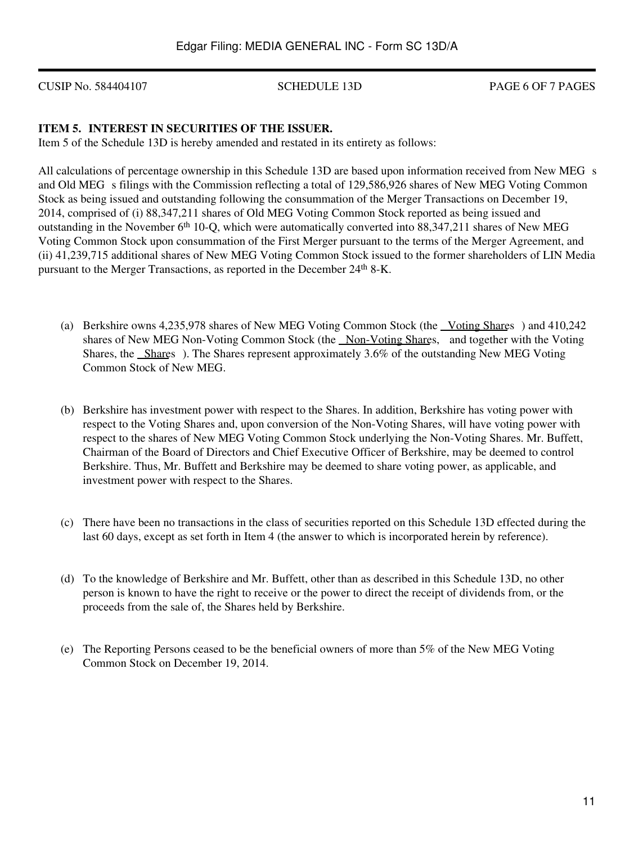CUSIP No. 584404107 SCHEDULE 13D PAGE 6 OF 7 PAGES

## **ITEM 5. INTEREST IN SECURITIES OF THE ISSUER.**

Item 5 of the Schedule 13D is hereby amended and restated in its entirety as follows:

All calculations of percentage ownership in this Schedule 13D are based upon information received from New MEG s and Old MEG s filings with the Commission reflecting a total of 129,586,926 shares of New MEG Voting Common Stock as being issued and outstanding following the consummation of the Merger Transactions on December 19, 2014, comprised of (i) 88,347,211 shares of Old MEG Voting Common Stock reported as being issued and outstanding in the November 6th 10-Q, which were automatically converted into 88,347,211 shares of New MEG Voting Common Stock upon consummation of the First Merger pursuant to the terms of the Merger Agreement, and (ii) 41,239,715 additional shares of New MEG Voting Common Stock issued to the former shareholders of LIN Media pursuant to the Merger Transactions, as reported in the December 24<sup>th</sup> 8-K.

- (a) Berkshire owns 4,235,978 shares of New MEG Voting Common Stock (the Voting Shares) and 410,242 shares of New MEG Non-Voting Common Stock (the Non-Voting Shares, and together with the Voting Shares, the Shares). The Shares represent approximately 3.6% of the outstanding New MEG Voting Common Stock of New MEG.
- (b) Berkshire has investment power with respect to the Shares. In addition, Berkshire has voting power with respect to the Voting Shares and, upon conversion of the Non-Voting Shares, will have voting power with respect to the shares of New MEG Voting Common Stock underlying the Non-Voting Shares. Mr. Buffett, Chairman of the Board of Directors and Chief Executive Officer of Berkshire, may be deemed to control Berkshire. Thus, Mr. Buffett and Berkshire may be deemed to share voting power, as applicable, and investment power with respect to the Shares.
- (c) There have been no transactions in the class of securities reported on this Schedule 13D effected during the last 60 days, except as set forth in Item 4 (the answer to which is incorporated herein by reference).
- (d) To the knowledge of Berkshire and Mr. Buffett, other than as described in this Schedule 13D, no other person is known to have the right to receive or the power to direct the receipt of dividends from, or the proceeds from the sale of, the Shares held by Berkshire.
- (e) The Reporting Persons ceased to be the beneficial owners of more than 5% of the New MEG Voting Common Stock on December 19, 2014.